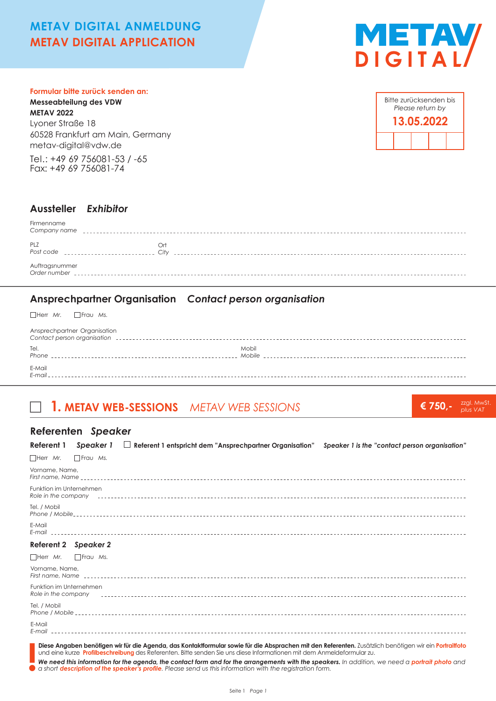# **METAV DIGITAL ANMELDUNG METAV DIGITAL APPLICATION**



#### **Formular bitte zurück senden an:**

**Messeabteilung des VDW METAV 2022** Lyoner Straße 18 60528 Frankfurt am Main, Germany metav-digital@vdw.de

Tel.: +49 69 756081-53 / -65 Fax: +49 69 756081-74

|  | Bitte zurücksenden bis<br>Please return by |  |
|--|--------------------------------------------|--|
|  | 13.05.2022                                 |  |
|  |                                            |  |

### **Aussteller** *Exhibitor*

| Firmenname<br>Company name     |             |
|--------------------------------|-------------|
| PLZ<br>Post code               | Ort<br>Citv |
| Auftragsnummer<br>Order number |             |

## **Ansprechpartner Organisation** *Contact person organisation*

Herr *Mr.* Frau *Ms.*

| Ansprechpartner Organisation |                                                                                                                                  |
|------------------------------|----------------------------------------------------------------------------------------------------------------------------------|
| Tel.<br>Phone                | Mobil<br>Mobile <b>Mobile</b> and the state of the state of the state of the state of the state of the state of the state of the |
| E-Mail<br>F-mail             |                                                                                                                                  |

# **1. METAV WEB-SESSIONS** *METAV WEB SESSIONS*

**€ 750,-** zzgl. MwSt. *plus VAT*

### **Referenten** *Speaker*

| Referent 1<br>Speaker 1                        | $\Box$ Referent 1 entspricht dem "Ansprechpartner Organisation"<br>Speaker 1 is the "contact person organisation"                                                                                                                                                                |
|------------------------------------------------|----------------------------------------------------------------------------------------------------------------------------------------------------------------------------------------------------------------------------------------------------------------------------------|
| □ Frau Ms.<br>$\Box$ Herr Mr.                  |                                                                                                                                                                                                                                                                                  |
| Vorname, Name,                                 |                                                                                                                                                                                                                                                                                  |
| Funktion im Unternehmen                        |                                                                                                                                                                                                                                                                                  |
| Tel. / Mobil                                   |                                                                                                                                                                                                                                                                                  |
| E-Mail                                         |                                                                                                                                                                                                                                                                                  |
| <b>Referent 2</b><br><b>Speaker 2</b>          |                                                                                                                                                                                                                                                                                  |
| $\Box$ Herr Mr.<br>Frau Ms.                    |                                                                                                                                                                                                                                                                                  |
| Vorname, Name,                                 |                                                                                                                                                                                                                                                                                  |
| Funktion im Unternehmen<br>Role in the company |                                                                                                                                                                                                                                                                                  |
| Tel. / Mobil                                   |                                                                                                                                                                                                                                                                                  |
| E-Mail                                         |                                                                                                                                                                                                                                                                                  |
|                                                | Diese Angaben benötigen wir für die Agenda, das Kontaktformular sowie für die Absprachen mit den Referenten. Zusätzlich benötigen wir ein Portraitfoto<br>und eine kurze Profilbeschreibung des Referenten. Bitte senden Sie uns diese Informationen mit dem Anmeldeformular zu. |

■ We need this information for the agenda, the contact form and for the arrangements with the speakers. In addition, we need a portrait photo and<br>● a short description of the speaker's profile. Please send us this informa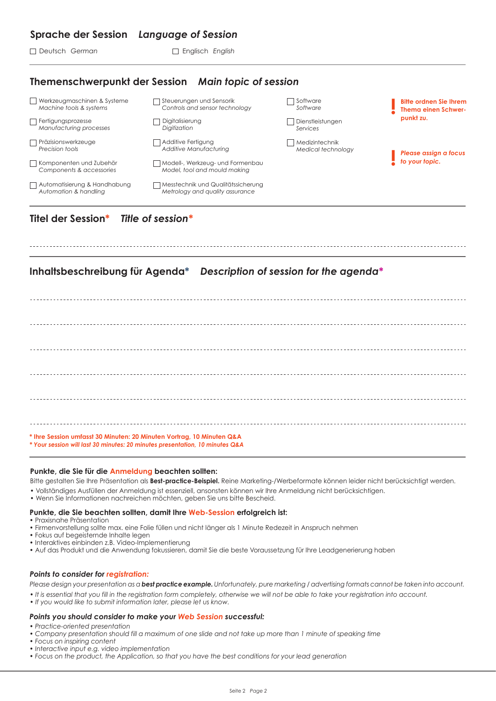### **Sprache der Session** *Language of Session*

□ Deutsch *German* ■ Englisch *English* 

## **Themenschwerpunkt der Session** *Main topic of session*

| Werkzeugmaschinen & Systeme                                  | Steuerungen und Sensorik                                              | <i>Software</i>    | <b>Bitte ordnen Sie Ihrem</b> |
|--------------------------------------------------------------|-----------------------------------------------------------------------|--------------------|-------------------------------|
| Machine tools & systems                                      | Controls and sensor technology                                        | Software           | <b>Thema einen Schwer-</b>    |
| Fertigungsprozesse                                           | Digitalisierung                                                       | Dienstleistungen   | punkt zu.                     |
| Manufacturing processes                                      | Digitization                                                          | Services           |                               |
| Präzisionswerkzeuge                                          | Additive Fertigung                                                    | Medizintechnik     | Please assign a focus         |
| Precision tools                                              | Additive Manufacturing                                                | Medical technology |                               |
| $\Box$ Komponenten und Zubehör<br>Components & accessories   | Modell-, Werkzeug- und Formenbau<br>Model, tool and mould making      | to your topic.     |                               |
| $\Box$ Automatisierung & Handhabung<br>Automation & handling | Messtechnik und Qualitätssicherung<br>Metrology and quality assurance |                    |                               |

## **Titel der Session\*** *Title of session\**

## **Inhaltsbeschreibung für Agenda\*** *Description of session for the agenda\**

**\* Ihre Session umfasst 30 Minuten: 20 Minuten Vortrag, 10 Minuten Q&A** *\* Your session will last 30 minutes: 20 minutes presentation, 10 minutes Q&A*

#### **Punkte, die Sie für die Anmeldung beachten sollten:**

Bitte gestalten Sie Ihre Präsentation als **Best-practice-Beispiel.** Reine Marketing-/Werbeformate können leider nicht berücksichtigt werden.

- Vollständiges Ausfüllen der Anmeldung ist essenziell, ansonsten können wir Ihre Anmeldung nicht berücksichtigen.
- Wenn Sie Informationen nachreichen möchten, geben Sie uns bitte Bescheid.

#### **Punkte, die Sie beachten sollten, damit Ihre Web-Session erfolgreich ist:**

- Praxisnahe Präsentation
- Firmenvorstellung sollte max. eine Folie füllen und nicht länger als 1 Minute Redezeit in Anspruch nehmen
- Fokus auf begeisternde Inhalte legen
- Interaktives einbinden z.B. Video-Implementierung
- Auf das Produkt und die Anwendung fokussieren, damit Sie die beste Voraussetzung für Ihre Leadgenerierung haben

#### *Points to consider for registration:*

*Please design your presentation as a best practice example. Unfortunately, pure marketing / advertising formats cannot be taken into account.*

- *It is essential that you fill in the registration form completely, otherwise we will not be able to take your registration into account.*
- *If you would like to submit information later, please let us know.*

#### *Points you should consider to make your Web Session successful:*

- *Practice-oriented presentation*
- *Company presentation should fill a maximum of one slide and not take up more than 1 minute of speaking time*
- *Focus on inspiring content*
- *Interactive input e.g. video implementation*
- *Focus on the product, the Application, so that you have the best conditions for your lead generation*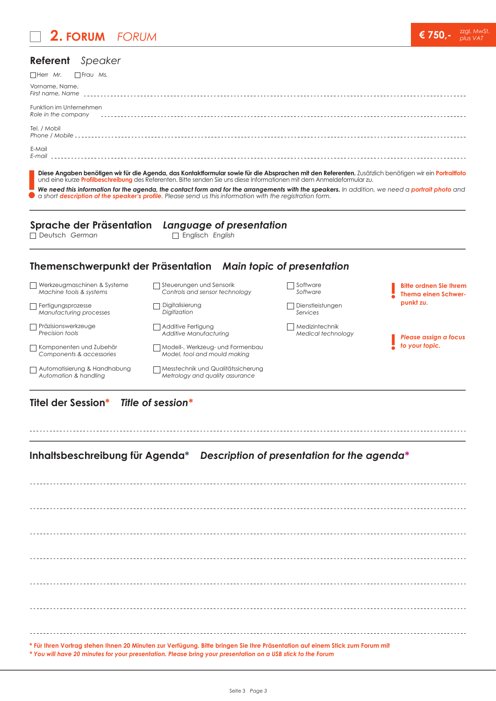# **2. FORUM** *FORUM*



### **Referent** *Speaker*

| $\Box$ Herr Mr. $\Box$ Frau Ms.                |
|------------------------------------------------|
| Vorname, Name,                                 |
| Funktion im Unternehmen<br>Role in the company |
| Tel. / Mobil                                   |
| E-Mail<br>E-mail                               |

**Diese Angaben benötigen wir für die Agenda, das Kontaktformular sowie für die Absprachen mit den Referenten.** Zusätzlich benötigen wir ein **Portraitfoto** und eine kurze **Profilbeschreibung** des Referenten. Bitte senden Sie uns diese Informationen mit dem Anmeldeformular zu.

We need this information for the agenda, the contact form and for the arrangements with the speakers. In addition, we need a portrait photo and *a short description of the speaker's profile. Please send us this information with the registration form.* **!**

# **Sprache der Präsentation** *Language of presentation*

Deutsch *German* Englisch *English* 

## **Themenschwerpunkt der Präsentation** *Main topic of presentation*

| Werkzeugmaschinen & Systeme                           | Steuerungen und Sensorik                                              | Software           | <b>Bitte ordnen Sie Ihrem</b> |
|-------------------------------------------------------|-----------------------------------------------------------------------|--------------------|-------------------------------|
| Machine tools & systems                               | Controls and sensor technology                                        | Software           | <b>Thema einen Schwer-</b>    |
| Fertigungsprozesse                                    | Digitalisierung                                                       | Dienstleistungen   | punkt zu.                     |
| Manufacturing processes                               | Digitization                                                          | Services           |                               |
| □ Präzisionswerkzeuge                                 | Additive Fertigung                                                    | Medizintechnik     | Please assign a focus         |
| Precision tools                                       | Additive Manufacturing                                                | Medical technology |                               |
| Komponenten und Zubehör<br>Components & accessories   | Modell-, Werkzeug- und Formenbau<br>Model, tool and mould making      |                    | to your topic.                |
| Automatisierung & Handhabung<br>Automation & handling | Messtechnik und Qualitätssicherung<br>Metrology and quality assurance |                    |                               |

### **Titel der Session\*** *Title of session\**

## **Inhaltsbeschreibung für Agenda\*** *Description of presentation for the agenda\**

**\* Für Ihren Vortrag stehen Ihnen 20 Minuten zur Verfügung. Bitte bringen Sie Ihre Präsentation auf einem Stick zum Forum mit**

*\* You will have 20 minutes for your presentation. Please bring your presentation on a USB stick to the Forum*